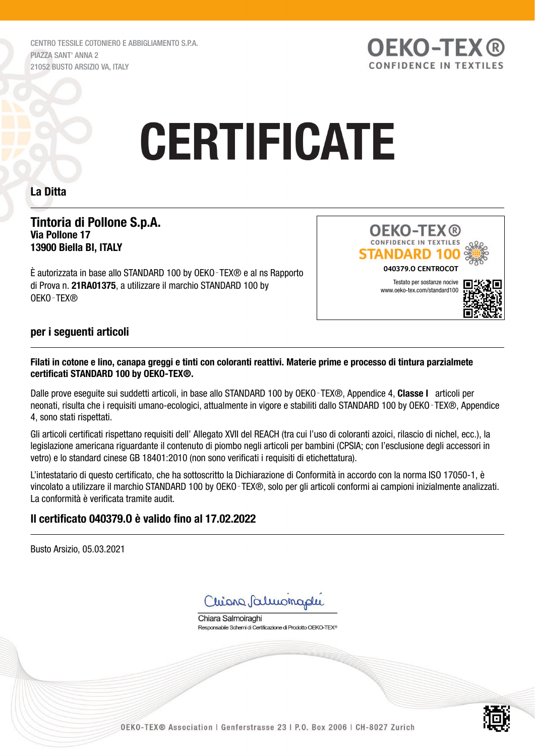CENTRO TESSILE COTONIERO E ABBIGLIAMENTO S.P.A. PIAZZA SANT' ANNA 2 21052 BUSTO ARSIZIO VA, ITALY



# **CERTIFICATE**

## La Ditta

## Tintoria di Pollone S.p.A. Via Pollone 17 13900 Biella BI, ITALY

È autorizzata in base allo STANDARD 100 by OEKO‑TEX® e al ns Rapporto di Prova n. 21RA01375, a utilizzare il marchio STANDARD 100 by OEKO‑TEX®



## per i seguenti articoli

### Filati in cotone e lino, canapa greggi e tinti con coloranti reattivi. Materie prime e processo di tintura parzialmete certificati STANDARD 100 by OEKO-TEX®.

Dalle prove eseguite sui suddetti articoli, in base allo STANDARD 100 by OEKO-TEX®, Appendice 4, Classe I articoli per neonati, risulta che i requisiti umano-ecologici, attualmente in vigore e stabiliti dallo STANDARD 100 by OEKO-TEX®, Appendice 4, sono stati rispettati.

Gli articoli certificati rispettano requisiti dell' Allegato XVII del REACH (tra cui l'uso di coloranti azoici, rilascio di nichel, ecc.), la legislazione americana riguardante il contenuto di piombo negli articoli per bambini (CPSIA; con l'esclusione degli accessori in vetro) e lo standard cinese GB 18401:2010 (non sono verificati i requisiti di etichettatura).

L'intestatario di questo certificato, che ha sottoscritto la Dichiarazione di Conformità in accordo con la norma ISO 17050-1, è vincolato a utilizzare il marchio STANDARD 100 by OEKO‑TEX®, solo per gli articoli conformi ai campioni inizialmente analizzati. La conformità è verificata tramite audit.

# Il certificato 040379.O è valido fino al 17.02.2022

Busto Arsizio, 05.03.2021

Chiona Saluonaphi

Chiara Salmoiraghi Responsabile Schemi di Certificazione di Prodotto OEKO-TEX<sup>®</sup>